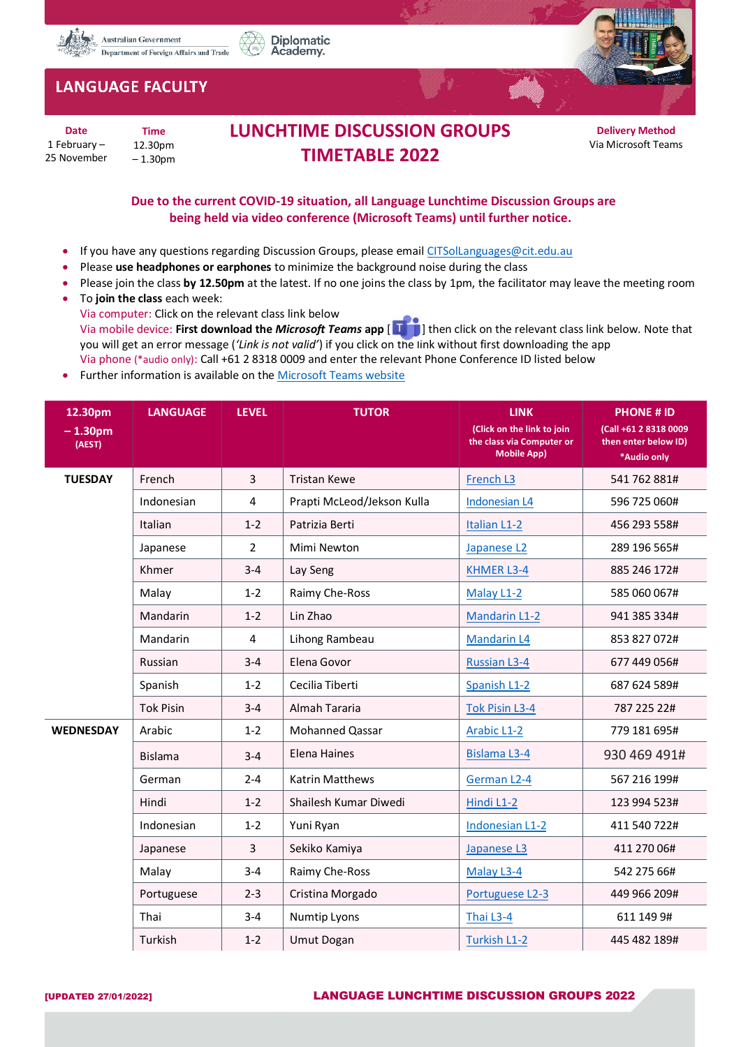



## **LANGUAGE FACULTY**

**Date** 1 February – 25 November

**Time** 12.30pm – 1.30pm

## **LUNCHTIME DISCUSSION GROUPS TIMETABLE 2022**

**Delivery Method** Via Microsoft Teams

## **Due to the current COVID-19 situation, all Language Lunchtime Discussion Groups are being held via video conference (Microsoft Teams) until further notice.**

- If you have any questions regarding Discussion Groups, please email [CITSolLanguages@cit.edu.au](mailto:CITSolLanguages@cit.edu.au)
- Please **use headphones or earphones** to minimize the background noise during the class
- Please join the class **by 12.50pm** at the latest. If no one joins the class by 1pm, the facilitator may leave the meeting room
- To **join the class** each week: Via computer: Click on the relevant class link below Via mobile device: **First download the** *Microsoft Teams* **app** [ ] then click on the relevant class link below. Note that you will get an error message (*'Link is not valid'*) if you click on the link without first downloading the app Via phone (\*audio only): Call +61 2 8318 0009 and enter the relevant Phone Conference ID listed below
- Further information is available on the [Microsoft Teams website](https://support.microsoft.com/en-us/office/meetings-and-calls-d92432d5-dd0f-4d17-8f69-06096b6b48a8?ui=en-US&rs=en-US&ad=US#ID0EAABAAA=Meetings)

| 12.30pm             | <b>LANGUAGE</b>  | <b>LEVEL</b>   | <b>TUTOR</b>               | <b>LINK</b>                                                                   | <b>PHONE # ID</b>                                            |
|---------------------|------------------|----------------|----------------------------|-------------------------------------------------------------------------------|--------------------------------------------------------------|
| $-1.30pm$<br>(AEST) |                  |                |                            | (Click on the link to join<br>the class via Computer or<br><b>Mobile App)</b> | (Call +61 2 8318 0009<br>then enter below ID)<br>*Audio only |
| <b>TUESDAY</b>      | French           | 3              | <b>Tristan Kewe</b>        | French L3                                                                     | 541 762 881#                                                 |
|                     | Indonesian       | $\overline{4}$ | Prapti McLeod/Jekson Kulla | Indonesian L4                                                                 | 596 725 060#                                                 |
|                     | Italian          | $1 - 2$        | Patrizia Berti             | Italian L1-2                                                                  | 456 293 558#                                                 |
|                     | Japanese         | $\overline{2}$ | Mimi Newton                | Japanese L2                                                                   | 289 196 565#                                                 |
|                     | Khmer            | $3 - 4$        | Lay Seng                   | <b>KHMER L3-4</b>                                                             | 885 246 172#                                                 |
|                     | Malay            | $1 - 2$        | Raimy Che-Ross             | Malay L1-2                                                                    | 585 060 067#                                                 |
|                     | Mandarin         | $1 - 2$        | Lin Zhao                   | <b>Mandarin L1-2</b>                                                          | 941 385 334#                                                 |
|                     | Mandarin         | $\overline{4}$ | Lihong Rambeau             | <b>Mandarin L4</b>                                                            | 853 827 072#                                                 |
|                     | Russian          | $3 - 4$        | Elena Govor                | <b>Russian L3-4</b>                                                           | 677 449 056#                                                 |
|                     | Spanish          | $1 - 2$        | Cecilia Tiberti            | Spanish L1-2                                                                  | 687 624 589#                                                 |
|                     | <b>Tok Pisin</b> | $3 - 4$        | Almah Tararia              | <b>Tok Pisin L3-4</b>                                                         | 787 225 22#                                                  |
| <b>WEDNESDAY</b>    | Arabic           | $1 - 2$        | Mohanned Qassar            | Arabic L1-2                                                                   | 779 181 695#                                                 |
|                     | <b>Bislama</b>   | $3 - 4$        | Elena Haines               | <b>Bislama L3-4</b>                                                           | 930 469 491#                                                 |
|                     | German           | $2 - 4$        | Katrin Matthews            | German L2-4                                                                   | 567 216 199#                                                 |
|                     | Hindi            | $1 - 2$        | Shailesh Kumar Diwedi      | Hindi L1-2                                                                    | 123 994 523#                                                 |
|                     | Indonesian       | $1 - 2$        | Yuni Ryan                  | Indonesian L1-2                                                               | 411 540 722#                                                 |
|                     | Japanese         | 3              | Sekiko Kamiya              | Japanese L3                                                                   | 411 270 06#                                                  |
|                     | Malay            | $3 - 4$        | Raimy Che-Ross             | Malay L3-4                                                                    | 542 275 66#                                                  |
|                     | Portuguese       | $2 - 3$        | Cristina Morgado           | Portuguese L2-3                                                               | 449 966 209#                                                 |
|                     | Thai             | $3 - 4$        | Numtip Lyons               | Thai L3-4                                                                     | 611 149 9#                                                   |
|                     | Turkish          | $1 - 2$        | <b>Umut Dogan</b>          | Turkish L1-2                                                                  | 445 482 189#                                                 |